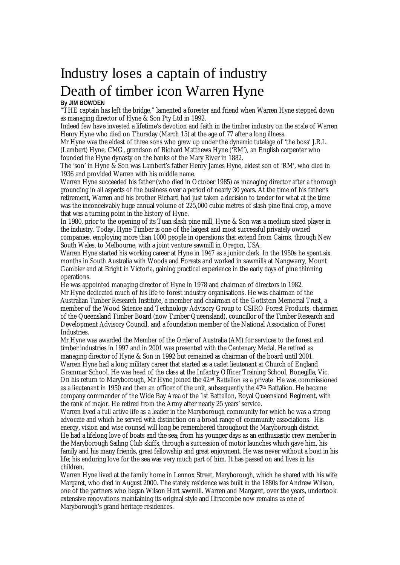# Industry loses a captain of industry Death of timber icon Warren Hyne **By JIM BOWDEN**

"THE captain has left the bridge," lamented a forester and friend when Warren Hyne stepped down as managing director of Hyne & Son Pty Ltd in 1992.

Indeed few have invested a lifetime's devotion and faith in the timber industry on the scale of Warren Henry Hyne who died on Thursday (March 15) at the age of 77 after a long illness.

Mr Hyne was the eldest of three sons who grew up under the dynamic tutelage of 'the boss' J.R.L. (Lambert) Hyne, CMG, grandson of Richard Matthews Hyne ('RM'), an English carpenter who founded the Hyne dynasty on the banks of the Mary River in 1882.

The 'son' in Hyne & Son was Lambert's father Henry James Hyne, eldest son of 'RM', who died in 1936 and provided Warren with his middle name.

Warren Hyne succeeded his father (who died in October 1985) as managing director after a thorough grounding in all aspects of the business over a period of nearly 30 years. At the time of his father's retirement, Warren and his brother Richard had just taken a decision to tender for what at the time was the inconceivably huge annual volume of 225,000 cubic metres of slash pine final crop, a move that was a turning point in the history of Hyne.

In 1980, prior to the opening of its Tuan slash pine mill, Hyne & Son was a medium sized player in the industry. Today, Hyne Timber is one of the largest and most successful privately owned companies, employing more than 1000 people in operations that extend from Cairns, through New South Wales, to Melbourne, with a joint venture sawmill in Oregon, USA.

Warren Hyne started his working career at Hyne in 1947 as a junior clerk. In the 1950s he spent six months in South Australia with Woods and Forests and worked in sawmills at Nangwarry, Mount Gambier and at Bright in Victoria, gaining practical experience in the early days of pine thinning operations.

He was appointed managing director of Hyne in 1978 and chairman of directors in 1982. Mr Hyne dedicated much of his life to forest industry organisations. He was chairman of the Australian Timber Research Institute, a member and chairman of the Gottstein Memorial Trust, a member of the Wood Science and Technology Advisory Group to CSIRO Forest Products, chairman of the Queensland Timber Board (now Timber Queensland), councillor of the Timber Research and Development Advisory Council, and a foundation member of the National Association of Forest Industries.

Mr Hyne was awarded the Member of the Order of Australia (AM) for services to the forest and timber industries in 1997 and in 2001 was presented with the Centenary Medal. He retired as managing director of Hyne & Son in 1992 but remained as chairman of the board until 2001. Warren Hyne had a long military career that started as a cadet lieutenant at Church of England Grammar School. He was head of the class at the Infantry Officer Training School, Bonegilla, Vic. On his return to Maryborough, Mr Hyne joined the 42nd Battalion as a private. He was commissioned as a lieutenant in 1950 and then an officer of the unit, subsequently the 47th Battalion. He became company commander of the Wide Bay Area of the 1st Battalion, Royal Queensland Regiment, with the rank of major. He retired from the Army after nearly 25 years' service.

Warren lived a full active life as a leader in the Maryborough community for which he was a strong advocate and which he served with distinction on a broad range of community associations. His energy, vision and wise counsel will long be remembered throughout the Maryborough district. He had a lifelong love of boats and the sea; from his younger days as an enthusiastic crew member in the Maryborough Sailing Club skiffs, through a succession of motor launches which gave him, his family and his many friends, great fellowship and great enjoyment. He was never without a boat in his life; his enduring love for the sea was very much part of him. It has passed on and lives in his children.

Warren Hyne lived at the family home in Lennox Street, Maryborough, which he shared with his wife Margaret, who died in August 2000. The stately residence was built in the 1880s for Andrew Wilson, one of the partners who began Wilson Hart sawmill. Warren and Margaret, over the years, undertook extensive renovations maintaining its original style and Ilfracombe now remains as one of Maryborough's grand heritage residences.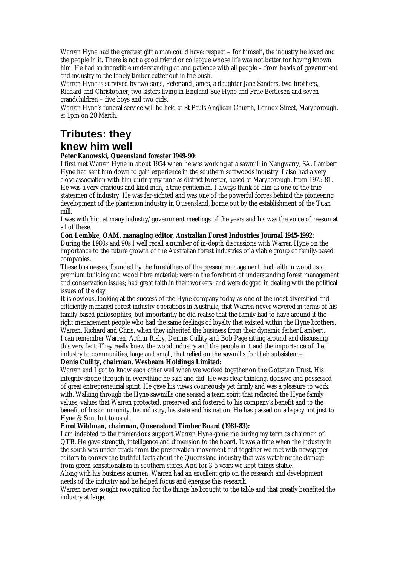Warren Hyne had the greatest gift a man could have: respect – for himself, the industry he loved and the people in it. There is not a good friend or colleague whose life was not better for having known him. He had an incredible understanding of and patience with all people – from heads of government and industry to the lonely timber cutter out in the bush.

Warren Hyne is survived by two sons, Peter and James, a daughter Jane Sanders, two brothers, Richard and Christopher, two sisters living in England Sue Hyne and Prue Bertlesen and seven grandchildren – five boys and two girls.

Warren Hyne's funeral service will be held at St Pauls Anglican Church, Lennox Street, Maryborough, at 1pm on 20 March.

# **Tributes: they knew him well**

## **Peter Kanowski, Queensland forester 1949-90**:

I first met Warren Hyne in about 1954 when he was working at a sawmill in Nangwarry, SA. Lambert Hyne had sent him down to gain experience in the southern softwoods industry. I also had a very close association with him during my time as district forester, based at Maryborough, from 1975-81. He was a very gracious and kind man, a true gentleman. I always think of him as one of the true statesmen of industry. He was far-sighted and was one of the powerful forces behind the pioneering development of the plantation industry in Queensland, borne out by the establishment of the Tuan mill.

I was with him at many industry/government meetings of the years and his was the voice of reason at all of these.

## **Con Lembke, OAM, managing editor, Australian Forest Industries Journal 1945-1992:**

During the 1980s and 90s I well recall a number of in-depth discussions with Warren Hyne on the importance to the future growth of the Australian forest industries of a viable group of family-based companies.

These businesses, founded by the forefathers of the present management, had faith in wood as a premium building and wood fibre material; were in the forefront of understanding forest management and conservation issues; had great faith in their workers; and were dogged in dealing with the political issues of the day.

It is obvious, looking at the success of the Hyne company today as one of the most diversified and efficiently managed forest industry operations in Australia, that Warren never wavered in terms of his family-based philosophies, but importantly he did realise that the family had to have around it the right management people who had the same feelings of loyalty that existed within the Hyne brothers, Warren, Richard and Chris, when they inherited the business from their dynamic father Lambert. I can remember Warren, Arthur Risby, Dennis Cullity and Bob Page sitting around and discussing this very fact. They really knew the wood industry and the people in it and the importance of the industry to communities, large and small, that relied on the sawmills for their subsistence.

## **Denis Cullity, chairman, Wesbeam Holdings Limited:**

Warren and I got to know each other well when we worked together on the Gottstein Trust. His integrity shone through in everything he said and did. He was clear thinking, decisive and possessed of great entrepreneurial spirit. He gave his views courteously yet firmly and was a pleasure to work with. Walking through the Hyne sawmills one sensed a team spirit that reflected the Hyne family values, values that Warren protected, preserved and fostered to his company's benefit and to the benefit of his community, his industry, his state and his nation. He has passed on a legacy not just to Hyne & Son, but to us all.

## **Errol Wildman, chairman, Queensland Timber Board (1981-83):**

I am indebted to the tremendous support Warren Hyne game me during my term as chairman of QTB. He gave strength, intelligence and dimension to the board. It was a time when the industry in the south was under attack from the preservation movement and together we met with newspaper editors to convey the truthful facts about the Queensland industry that was watching the damage from green sensationalism in southern states. And for 3-5 years we kept things stable.

Along with his business acumen, Warren had an excellent grip on the research and development needs of the industry and he helped focus and energise this research.

Warren never sought recognition for the things he brought to the table and that greatly benefited the industry at large.